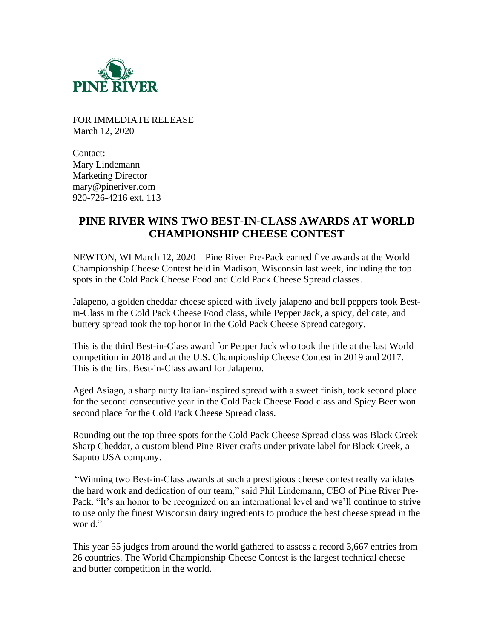

FOR IMMEDIATE RELEASE March 12, 2020

Contact: Mary Lindemann Marketing Director mary@pineriver.com 920-726-4216 ext. 113

## **PINE RIVER WINS TWO BEST-IN-CLASS AWARDS AT WORLD CHAMPIONSHIP CHEESE CONTEST**

NEWTON, WI March 12, 2020 – Pine River Pre-Pack earned five awards at the World Championship Cheese Contest held in Madison, Wisconsin last week, including the top spots in the Cold Pack Cheese Food and Cold Pack Cheese Spread classes.

Jalapeno, a golden cheddar cheese spiced with lively jalapeno and bell peppers took Bestin-Class in the Cold Pack Cheese Food class, while Pepper Jack, a spicy, delicate, and buttery spread took the top honor in the Cold Pack Cheese Spread category.

This is the third Best-in-Class award for Pepper Jack who took the title at the last World competition in 2018 and at the U.S. Championship Cheese Contest in 2019 and 2017. This is the first Best-in-Class award for Jalapeno.

Aged Asiago, a sharp nutty Italian-inspired spread with a sweet finish, took second place for the second consecutive year in the Cold Pack Cheese Food class and Spicy Beer won second place for the Cold Pack Cheese Spread class.

Rounding out the top three spots for the Cold Pack Cheese Spread class was Black Creek Sharp Cheddar, a custom blend Pine River crafts under private label for Black Creek, a Saputo USA company.

"Winning two Best-in-Class awards at such a prestigious cheese contest really validates the hard work and dedication of our team," said Phil Lindemann, CEO of Pine River Pre-Pack. "It's an honor to be recognized on an international level and we'll continue to strive to use only the finest Wisconsin dairy ingredients to produce the best cheese spread in the world."

This year 55 judges from around the world gathered to assess a record 3,667 entries from 26 countries. The World Championship Cheese Contest is the largest technical cheese and butter competition in the world.